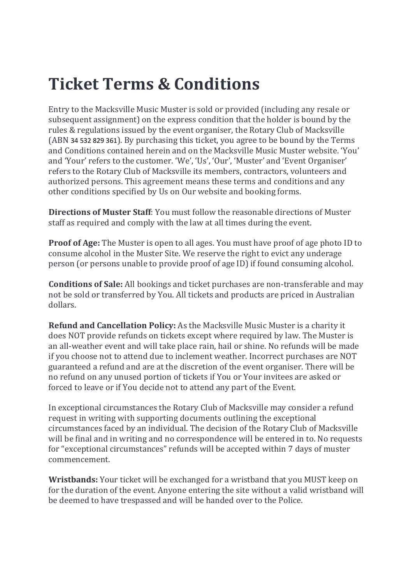## Ticket Terms & Conditions

Entry to the Macksville Music Muster is sold or provided (including any resale or subsequent assignment) on the express condition that the holder is bound by the rules & regulations issued by the event organiser, the Rotary Club of Macksville (ABN 34 532 829 361). By purchasing this ticket, you agree to be bound by the Terms and Conditions contained herein and on the Macksville Music Muster website. 'You' and 'Your' refers to the customer. 'We', 'Us', 'Our', 'Muster' and 'Event Organiser' refers to the Rotary Club of Macksville its members, contractors, volunteers and authorized persons. This agreement means these terms and conditions and any other conditions specified by Us on Our website and booking forms.

Directions of Muster Staff: You must follow the reasonable directions of Muster staff as required and comply with the law at all times during the event.

Proof of Age: The Muster is open to all ages. You must have proof of age photo ID to consume alcohol in the Muster Site. We reserve the right to evict any underage person (or persons unable to provide proof of age ID) if found consuming alcohol.

Conditions of Sale: All bookings and ticket purchases are non-transferable and may not be sold or transferred by You. All tickets and products are priced in Australian dollars.

Refund and Cancellation Policy: As the Macksville Music Muster is a charity it does NOT provide refunds on tickets except where required by law. The Muster is an all-weather event and will take place rain, hail or shine. No refunds will be made if you choose not to attend due to inclement weather. Incorrect purchases are NOT guaranteed a refund and are at the discretion of the event organiser. There will be no refund on any unused portion of tickets if You or Your invitees are asked or forced to leave or if You decide not to attend any part of the Event.

In exceptional circumstances the Rotary Club of Macksville may consider a refund request in writing with supporting documents outlining the exceptional circumstances faced by an individual. The decision of the Rotary Club of Macksville will be final and in writing and no correspondence will be entered in to. No requests for "exceptional circumstances" refunds will be accepted within 7 days of muster commencement.

Wristbands: Your ticket will be exchanged for a wristband that you MUST keep on for the duration of the event. Anyone entering the site without a valid wristband will be deemed to have trespassed and will be handed over to the Police.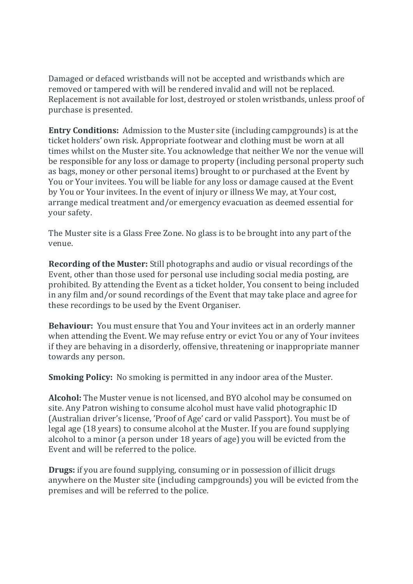Damaged or defaced wristbands will not be accepted and wristbands which are removed or tampered with will be rendered invalid and will not be replaced. Replacement is not available for lost, destroyed or stolen wristbands, unless proof of purchase is presented.

Entry Conditions: Admission to the Muster site (including campgrounds) is at the ticket holders' own risk. Appropriate footwear and clothing must be worn at all times whilst on the Muster site. You acknowledge that neither We nor the venue will be responsible for any loss or damage to property (including personal property such as bags, money or other personal items) brought to or purchased at the Event by You or Your invitees. You will be liable for any loss or damage caused at the Event by You or Your invitees. In the event of injury or illness We may, at Your cost, arrange medical treatment and/or emergency evacuation as deemed essential for your safety.

The Muster site is a Glass Free Zone. No glass is to be brought into any part of the venue.

Recording of the Muster: Still photographs and audio or visual recordings of the Event, other than those used for personal use including social media posting, are prohibited. By attending the Event as a ticket holder, You consent to being included in any film and/or sound recordings of the Event that may take place and agree for these recordings to be used by the Event Organiser.

Behaviour: You must ensure that You and Your invitees act in an orderly manner when attending the Event. We may refuse entry or evict You or any of Your invitees if they are behaving in a disorderly, offensive, threatening or inappropriate manner towards any person.

Smoking Policy: No smoking is permitted in any indoor area of the Muster.

Alcohol: The Muster venue is not licensed, and BYO alcohol may be consumed on site. Any Patron wishing to consume alcohol must have valid photographic ID (Australian driver's license, 'Proof of Age' card or valid Passport). You must be of legal age (18 years) to consume alcohol at the Muster. If you are found supplying alcohol to a minor (a person under 18 years of age) you will be evicted from the Event and will be referred to the police.

Drugs: if you are found supplying, consuming or in possession of illicit drugs anywhere on the Muster site (including campgrounds) you will be evicted from the premises and will be referred to the police.